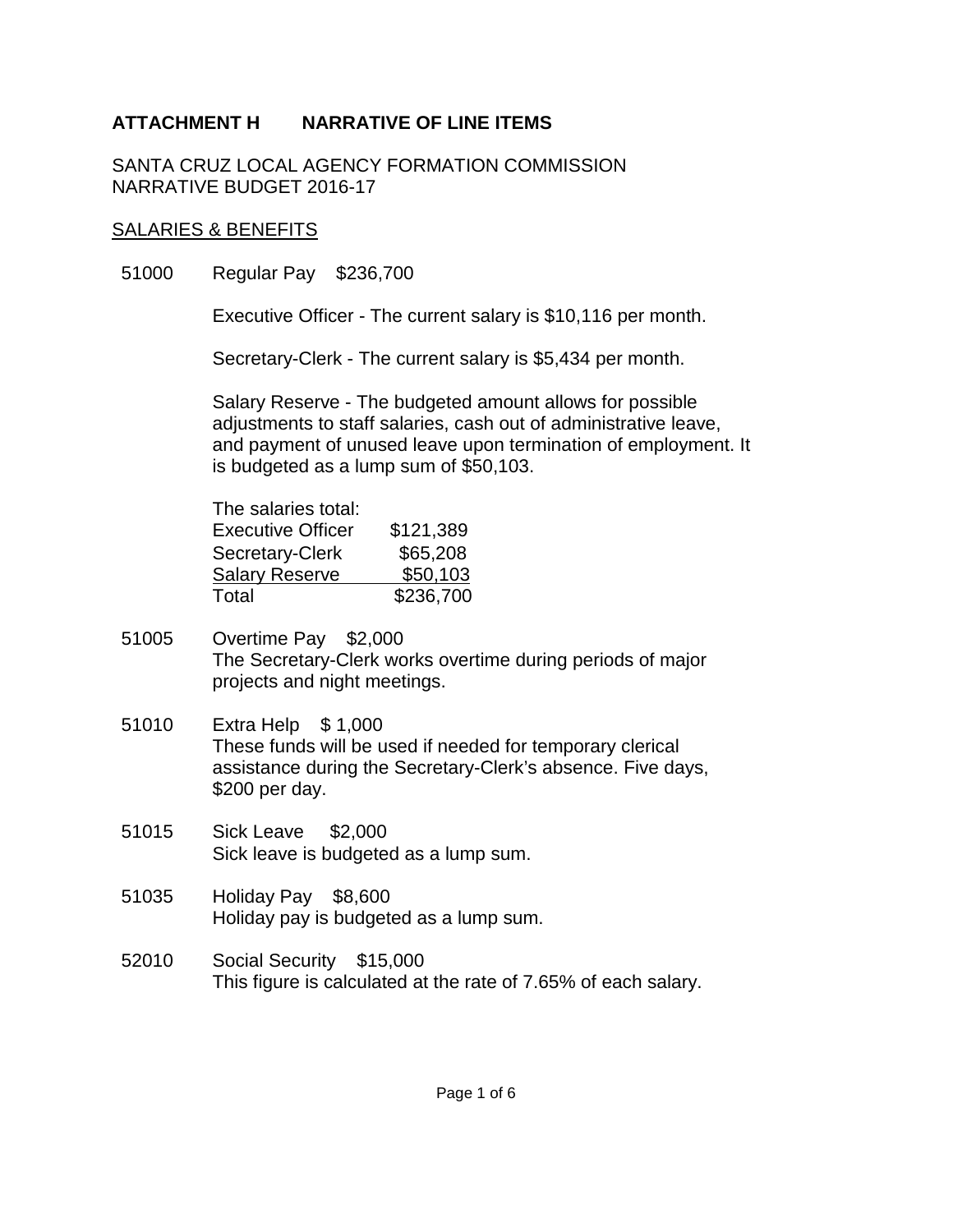SANTA CRUZ LOCAL AGENCY FORMATION COMMISSION NARRATIVE BUDGET 2016-17

#### SALARIES & BENEFITS

51000 Regular Pay \$236,700

Executive Officer - The current salary is \$10,116 per month.

Secretary-Clerk - The current salary is \$5,434 per month.

Salary Reserve - The budgeted amount allows for possible adjustments to staff salaries, cash out of administrative leave, and payment of unused leave upon termination of employment. It is budgeted as a lump sum of \$50,103.

| The salaries total:      |           |
|--------------------------|-----------|
| <b>Executive Officer</b> | \$121,389 |
| Secretary-Clerk          | \$65,208  |
| <b>Salary Reserve</b>    | \$50,103  |
| Total                    | \$236,700 |

- 51005 Overtime Pay \$2,000 The Secretary-Clerk works overtime during periods of major projects and night meetings.
- 51010 Extra Help \$ 1,000 These funds will be used if needed for temporary clerical assistance during the Secretary-Clerk's absence. Five days, \$200 per day.
- 51015 Sick Leave \$2,000 Sick leave is budgeted as a lump sum.
- 51035 Holiday Pay \$8,600 Holiday pay is budgeted as a lump sum.
- 52010 Social Security \$15,000 This figure is calculated at the rate of 7.65% of each salary.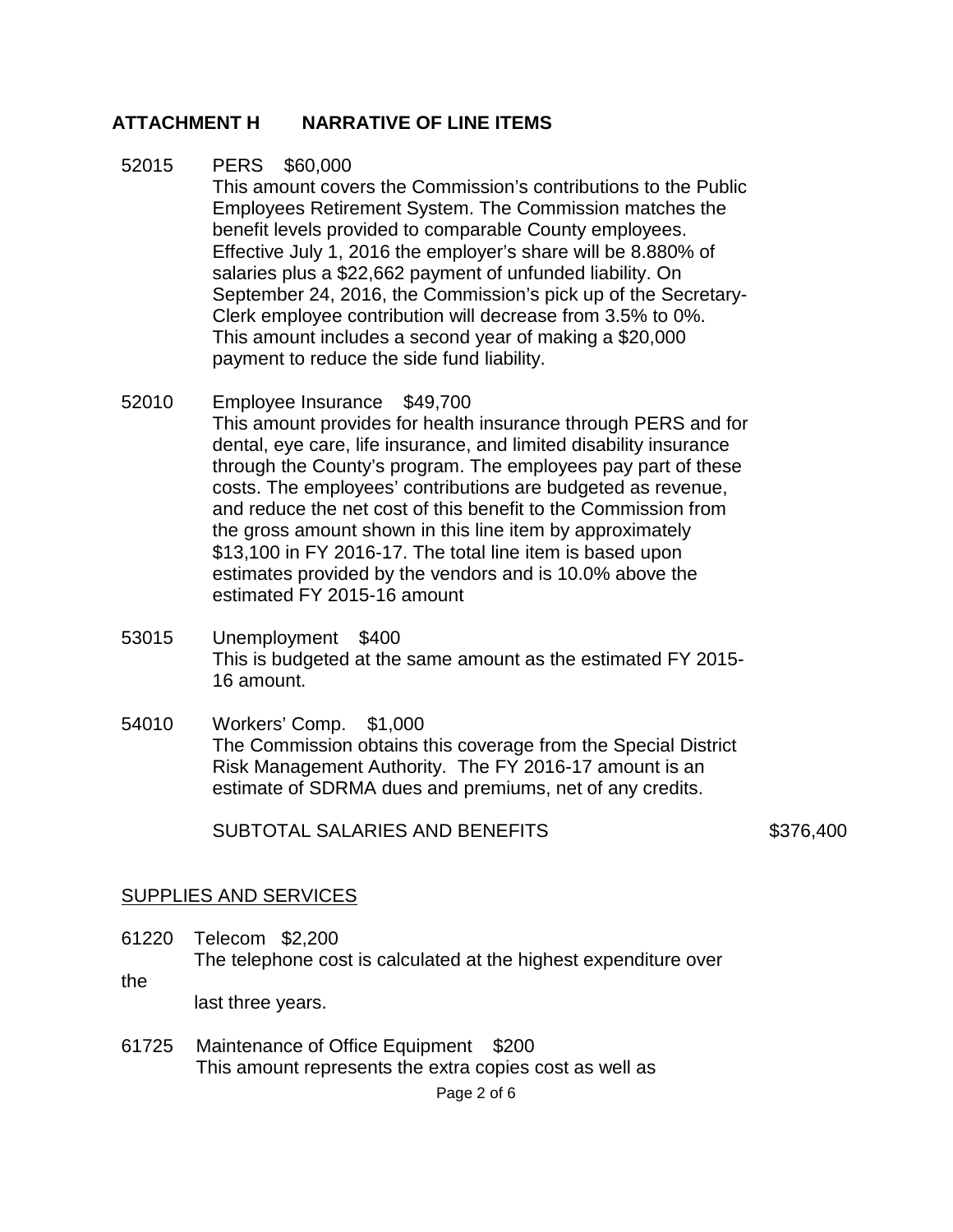- 52015 PERS \$60,000 This amount covers the Commission's contributions to the Public Employees Retirement System. The Commission matches the benefit levels provided to comparable County employees. Effective July 1, 2016 the employer's share will be 8.880% of salaries plus a \$22,662 payment of unfunded liability. On September 24, 2016, the Commission's pick up of the Secretary-Clerk employee contribution will decrease from 3.5% to 0%. This amount includes a second year of making a \$20,000 payment to reduce the side fund liability.
- 52010 Employee Insurance \$49,700 This amount provides for health insurance through PERS and for dental, eye care, life insurance, and limited disability insurance through the County's program. The employees pay part of these costs. The employees' contributions are budgeted as revenue, and reduce the net cost of this benefit to the Commission from the gross amount shown in this line item by approximately \$13,100 in FY 2016-17. The total line item is based upon estimates provided by the vendors and is 10.0% above the estimated FY 2015-16 amount
- 53015 Unemployment \$400 This is budgeted at the same amount as the estimated FY 2015- 16 amount.
- 54010 Workers' Comp. \$1,000 The Commission obtains this coverage from the Special District Risk Management Authority. The FY 2016-17 amount is an estimate of SDRMA dues and premiums, net of any credits.

SUBTOTAL SALARIES AND BENEFITS \$376,400

#### SUPPLIES AND SERVICES

- 61220 Telecom \$2,200 The telephone cost is calculated at the highest expenditure over
- the last three years.
- 61725 Maintenance of Office Equipment \$200 This amount represents the extra copies cost as well as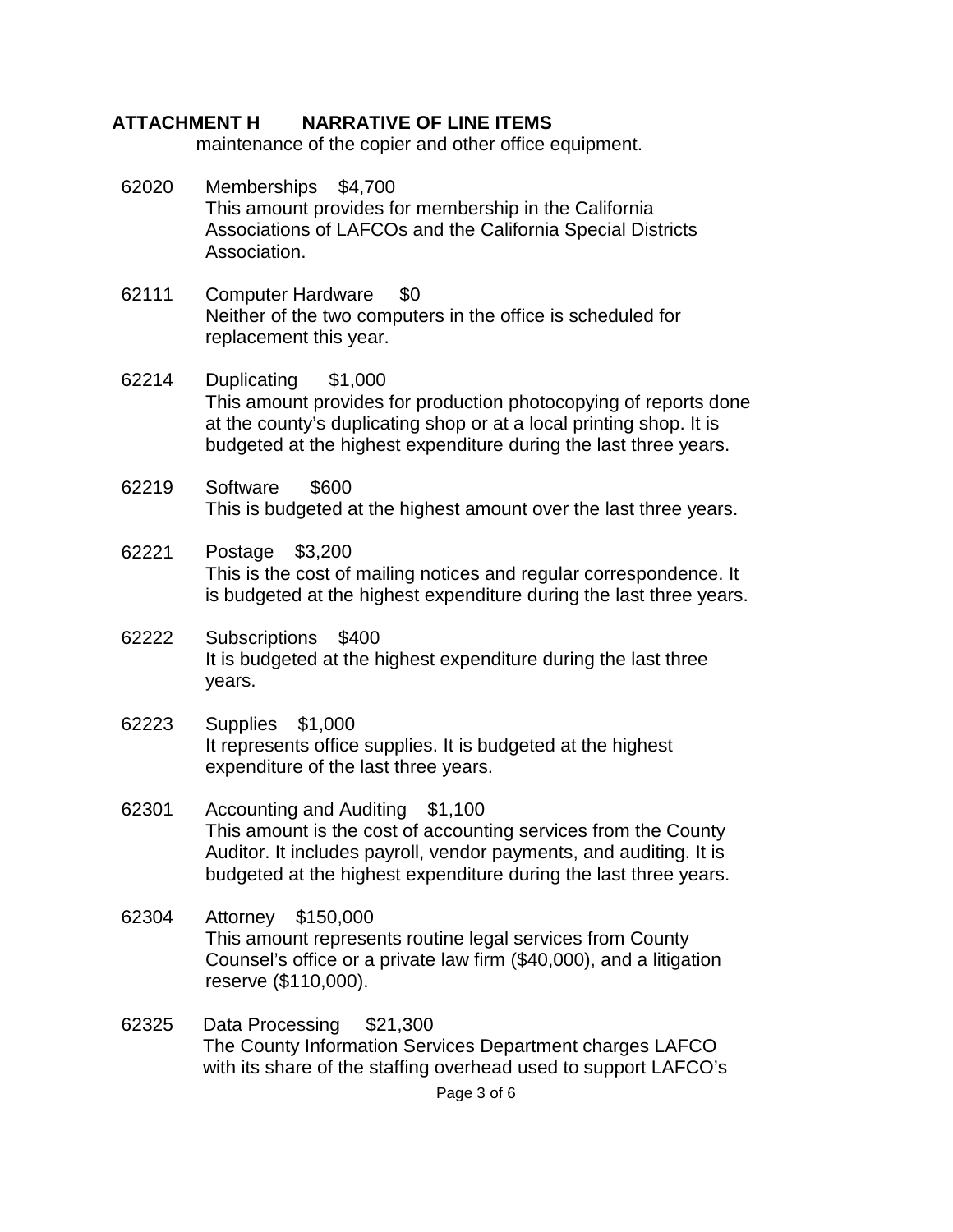maintenance of the copier and other office equipment.

- 62020 Memberships \$4,700 This amount provides for membership in the California Associations of LAFCOs and the California Special Districts Association.
- 62111 Computer Hardware \$0 Neither of the two computers in the office is scheduled for replacement this year.
- 62214 Duplicating \$1,000 This amount provides for production photocopying of reports done at the county's duplicating shop or at a local printing shop. It is budgeted at the highest expenditure during the last three years.
- 62219 Software \$600 This is budgeted at the highest amount over the last three years.
- 62221 Postage \$3,200 This is the cost of mailing notices and regular correspondence. It is budgeted at the highest expenditure during the last three years.
- 62222 Subscriptions \$400 It is budgeted at the highest expenditure during the last three years.
- 62223 Supplies \$1,000 It represents office supplies. It is budgeted at the highest expenditure of the last three years.
- 62301 Accounting and Auditing \$1,100 This amount is the cost of accounting services from the County Auditor. It includes payroll, vendor payments, and auditing. It is budgeted at the highest expenditure during the last three years.
- 62304 Attorney \$150,000 This amount represents routine legal services from County Counsel's office or a private law firm (\$40,000), and a litigation reserve (\$110,000).
- 62325 Data Processing \$21,300 The County Information Services Department charges LAFCO with its share of the staffing overhead used to support LAFCO's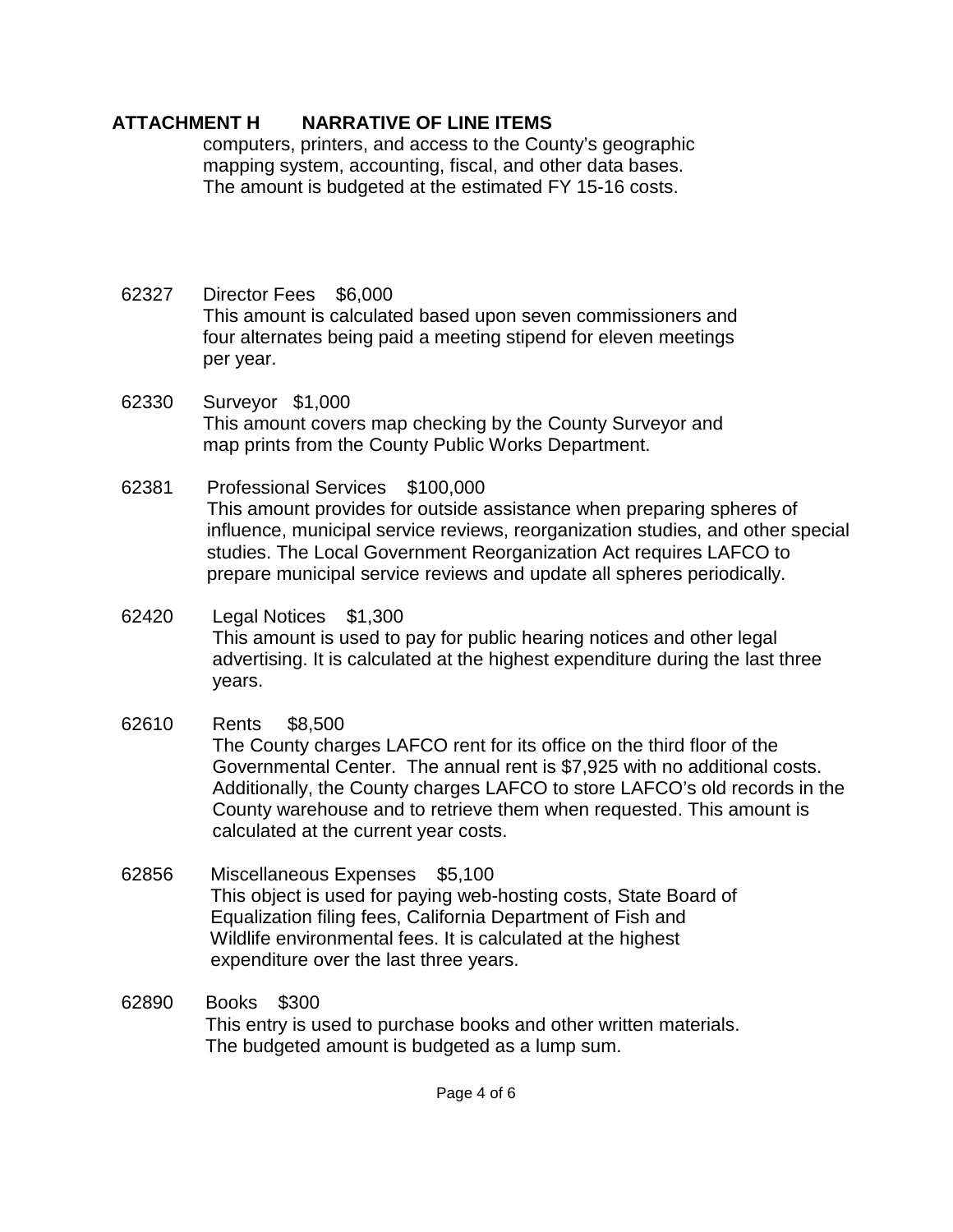computers, printers, and access to the County's geographic mapping system, accounting, fiscal, and other data bases. The amount is budgeted at the estimated FY 15-16 costs.

- 62327 Director Fees \$6,000 This amount is calculated based upon seven commissioners and four alternates being paid a meeting stipend for eleven meetings per year.
- 62330 Surveyor \$1,000 This amount covers map checking by the County Surveyor and map prints from the County Public Works Department.
- 62381 Professional Services \$100,000 This amount provides for outside assistance when preparing spheres of influence, municipal service reviews, reorganization studies, and other special studies. The Local Government Reorganization Act requires LAFCO to prepare municipal service reviews and update all spheres periodically.
- 62420 Legal Notices \$1,300 This amount is used to pay for public hearing notices and other legal advertising. It is calculated at the highest expenditure during the last three years.
- 62610 Rents \$8,500 The County charges LAFCO rent for its office on the third floor of the Governmental Center. The annual rent is \$7,925 with no additional costs. Additionally, the County charges LAFCO to store LAFCO's old records in the County warehouse and to retrieve them when requested. This amount is calculated at the current year costs.
- 62856 Miscellaneous Expenses \$5,100 This object is used for paying web-hosting costs, State Board of Equalization filing fees, California Department of Fish and Wildlife environmental fees. It is calculated at the highest expenditure over the last three years.
- 62890 Books \$300 This entry is used to purchase books and other written materials. The budgeted amount is budgeted as a lump sum.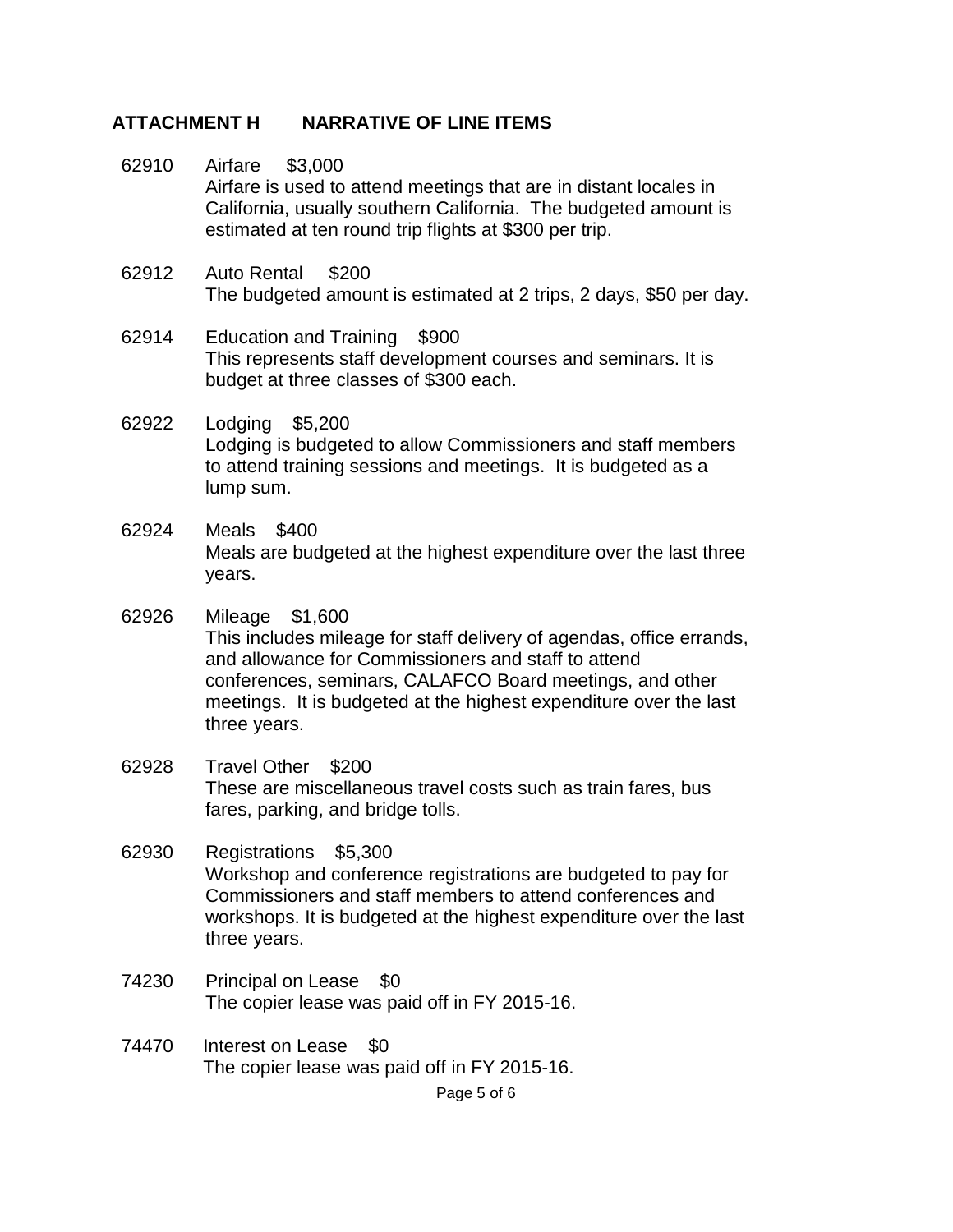- 62910 Airfare \$3,000 Airfare is used to attend meetings that are in distant locales in California, usually southern California. The budgeted amount is estimated at ten round trip flights at \$300 per trip.
- 62912 Auto Rental \$200 The budgeted amount is estimated at 2 trips, 2 days, \$50 per day.
- 62914 Education and Training \$900 This represents staff development courses and seminars. It is budget at three classes of \$300 each.
- 62922 Lodging \$5,200 Lodging is budgeted to allow Commissioners and staff members to attend training sessions and meetings. It is budgeted as a lump sum.
- 62924 Meals \$400 Meals are budgeted at the highest expenditure over the last three years.
- 62926 Mileage \$1,600 This includes mileage for staff delivery of agendas, office errands, and allowance for Commissioners and staff to attend conferences, seminars, CALAFCO Board meetings, and other meetings. It is budgeted at the highest expenditure over the last three years.
- 62928 Travel Other \$200 These are miscellaneous travel costs such as train fares, bus fares, parking, and bridge tolls.
- 62930 Registrations \$5,300 Workshop and conference registrations are budgeted to pay for Commissioners and staff members to attend conferences and workshops. It is budgeted at the highest expenditure over the last three years.
- 74230 Principal on Lease \$0 The copier lease was paid off in FY 2015-16.
- 74470 Interest on Lease \$0 The copier lease was paid off in FY 2015-16.